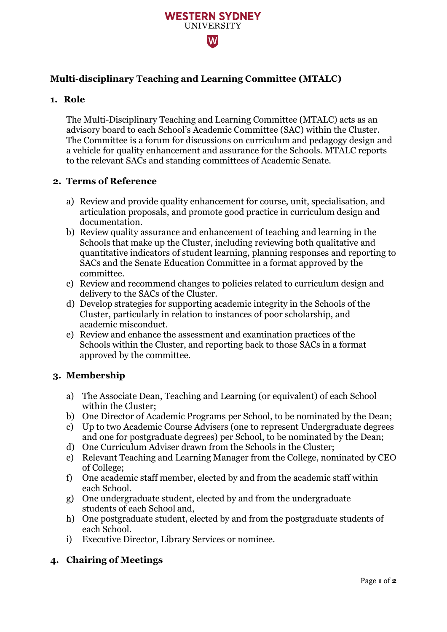

# **Multi-disciplinary Teaching and Learning Committee (MTALC)**

## **1. Role**

The Multi-Disciplinary Teaching and Learning Committee (MTALC) acts as an advisory board to each School's Academic Committee (SAC) within the Cluster. The Committee is a forum for discussions on curriculum and pedagogy design and a vehicle for quality enhancement and assurance for the Schools. MTALC reports to the relevant SACs and standing committees of Academic Senate.

## **2. Terms of Reference**

- a) Review and provide quality enhancement for course, unit, specialisation, and articulation proposals, and promote good practice in curriculum design and documentation.
- b) Review quality assurance and enhancement of teaching and learning in the Schools that make up the Cluster, including reviewing both qualitative and quantitative indicators of student learning, planning responses and reporting to SACs and the Senate Education Committee in a format approved by the committee.
- c) Review and recommend changes to policies related to curriculum design and delivery to the SACs of the Cluster.
- d) Develop strategies for supporting academic integrity in the Schools of the Cluster, particularly in relation to instances of poor scholarship, and academic misconduct.
- e) Review and enhance the assessment and examination practices of the Schools within the Cluster, and reporting back to those SACs in a format approved by the committee.

### **3. Membership**

- a) The Associate Dean, Teaching and Learning (or equivalent) of each School within the Cluster;
- b) One Director of Academic Programs per School, to be nominated by the Dean;
- c) Up to two Academic Course Advisers (one to represent Undergraduate degrees and one for postgraduate degrees) per School, to be nominated by the Dean;
- d) One Curriculum Adviser drawn from the Schools in the Cluster;
- e) Relevant Teaching and Learning Manager from the College, nominated by CEO of College;
- f) One academic staff member, elected by and from the academic staff within each School.
- g) One undergraduate student, elected by and from the undergraduate students of each School and,
- h) One postgraduate student, elected by and from the postgraduate students of each School.
- i) Executive Director, Library Services or nominee.

# **4. Chairing of Meetings**